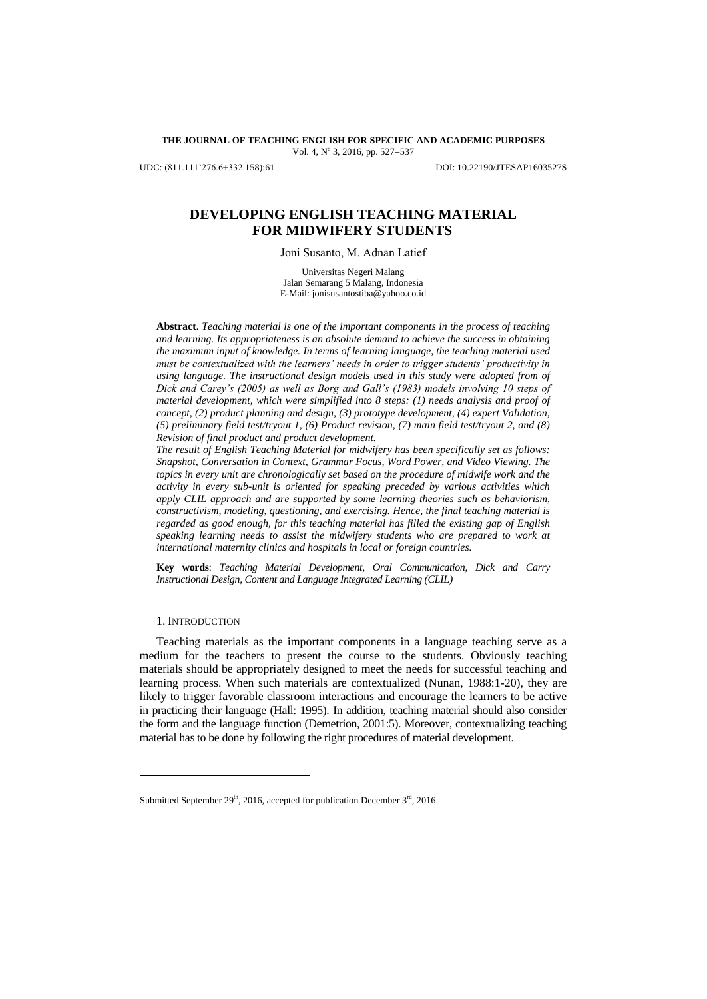**THE JOURNAL OF TEACHING ENGLISH FOR SPECIFIC AND ACADEMIC PURPOSES** Vol. 4, Nº 3, 2016, pp. 527-537

UDC: (811.111'276.6+332.158):61 DOI: 10.22190/JTESAP1603527S

# **DEVELOPING ENGLISH TEACHING MATERIAL FOR MIDWIFERY STUDENTS**

Joni Susanto, M. Adnan Latief

Universitas Negeri Malang Jalan Semarang 5 Malang, Indonesia E-Mail: [jonisusantostiba@yahoo.co.id](mailto:jonisusantostiba@yahoo.co.id)

**Abstract**. *Teaching material is one of the important components in the process of teaching and learning. Its appropriateness is an absolute demand to achieve the success in obtaining the maximum input of knowledge. In terms of learning language, the teaching material used must be contextualized with the learners' needs in order to trigger students' productivity in using language. The instructional design models used in this study were adopted from of Dick and Carey's (2005) as well as Borg and Gall's (1983) models involving 10 steps of material development, which were simplified into 8 steps: (1) needs analysis and proof of concept, (2) product planning and design, (3) prototype development, (4) expert Validation, (5) preliminary field test/tryout 1, (6) Product revision, (7) main field test/tryout 2, and (8) Revision of final product and product development.* 

*The result of English Teaching Material for midwifery has been specifically set as follows: Snapshot, Conversation in Context, Grammar Focus, Word Power, and Video Viewing. The topics in every unit are chronologically set based on the procedure of midwife work and the activity in every sub-unit is oriented for speaking preceded by various activities which apply CLIL approach and are supported by some learning theories such as behaviorism, constructivism, modeling, questioning, and exercising. Hence, the final teaching material is regarded as good enough, for this teaching material has filled the existing gap of English speaking learning needs to assist the midwifery students who are prepared to work at international maternity clinics and hospitals in local or foreign countries.* 

**Key words**: *Teaching Material Development, Oral Communication, Dick and Carry Instructional Design, Content and Language Integrated Learning (CLIL)*

### 1. INTRODUCTION

l

Teaching materials as the important components in a language teaching serve as a medium for the teachers to present the course to the students. Obviously teaching materials should be appropriately designed to meet the needs for successful teaching and learning process. When such materials are contextualized (Nunan, 1988:1-20), they are likely to trigger favorable classroom interactions and encourage the learners to be active in practicing their language (Hall: 1995). In addition, teaching material should also consider the form and the language function (Demetrion, 2001:5). Moreover, contextualizing teaching material has to be done by following the right procedures of material development.

Submitted September 29<sup>th</sup>, 2016, accepted for publication December  $3<sup>rd</sup>$ , 2016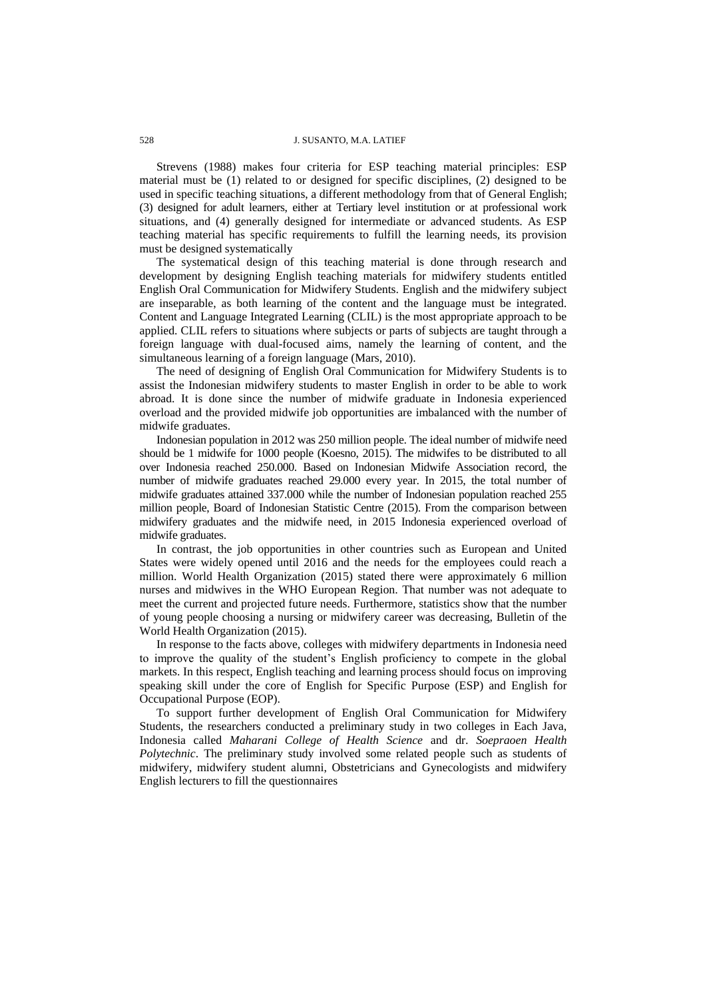### 528 J. SUSANTO, M.A. LATIEF

Strevens (1988) makes four criteria for ESP teaching material principles: ESP material must be (1) related to or designed for specific disciplines, (2) designed to be used in specific teaching situations, a different methodology from that of General English; (3) designed for adult learners, either at Tertiary level institution or at professional work situations, and (4) generally designed for intermediate or advanced students. As ESP teaching material has specific requirements to fulfill the learning needs, its provision must be designed systematically

The systematical design of this teaching material is done through research and development by designing English teaching materials for midwifery students entitled English Oral Communication for Midwifery Students. English and the midwifery subject are inseparable, as both learning of the content and the language must be integrated. Content and Language Integrated Learning (CLIL) is the most appropriate approach to be applied. CLIL refers to situations where subjects or parts of subjects are taught through a foreign language with dual-focused aims, namely the learning of content, and the simultaneous learning of a foreign language (Mars, 2010).

The need of designing of English Oral Communication for Midwifery Students is to assist the Indonesian midwifery students to master English in order to be able to work abroad. It is done since the number of midwife graduate in Indonesia experienced overload and the provided midwife job opportunities are imbalanced with the number of midwife graduates.

Indonesian population in 2012 was 250 million people. The ideal number of midwife need should be 1 midwife for 1000 people (Koesno, 2015). The midwifes to be distributed to all over Indonesia reached 250.000. Based on Indonesian Midwife Association record, the number of midwife graduates reached 29.000 every year. In 2015, the total number of midwife graduates attained 337.000 while the number of Indonesian population reached 255 million people, Board of Indonesian Statistic Centre (2015). From the comparison between midwifery graduates and the midwife need, in 2015 Indonesia experienced overload of midwife graduates.

In contrast, the job opportunities in other countries such as European and United States were widely opened until 2016 and the needs for the employees could reach a million. World Health Organization (2015) stated there were approximately 6 million nurses and midwives in the WHO European Region. That number was not adequate to meet the current and projected future needs. Furthermore, statistics show that the number of young people choosing a nursing or midwifery career was decreasing, Bulletin of the World Health Organization (2015).

In response to the facts above, colleges with midwifery departments in Indonesia need to improve the quality of the student"s English proficiency to compete in the global markets. In this respect, English teaching and learning process should focus on improving speaking skill under the core of English for Specific Purpose (ESP) and English for Occupational Purpose (EOP).

To support further development of English Oral Communication for Midwifery Students, the researchers conducted a preliminary study in two colleges in Each Java, Indonesia called *Maharani College of Health Science* and dr. *Soepraoen Health Polytechnic*. The preliminary study involved some related people such as students of midwifery, midwifery student alumni, Obstetricians and Gynecologists and midwifery English lecturers to fill the questionnaires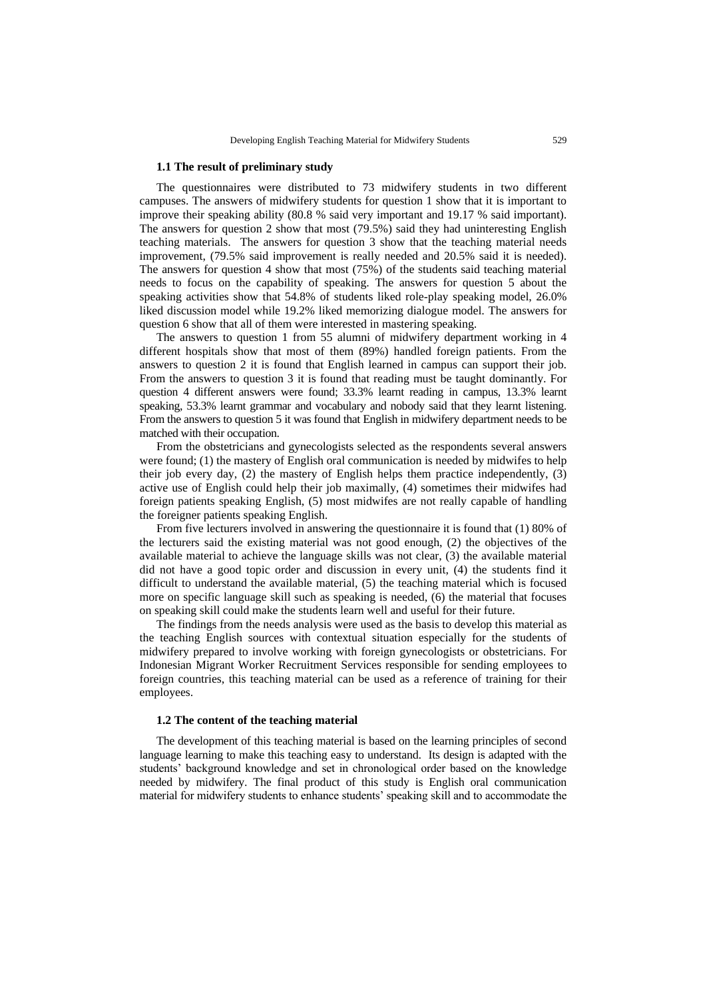#### **1.1 The result of preliminary study**

The questionnaires were distributed to 73 midwifery students in two different campuses. The answers of midwifery students for question 1 show that it is important to improve their speaking ability (80.8 % said very important and 19.17 % said important). The answers for question 2 show that most (79.5%) said they had uninteresting English teaching materials. The answers for question 3 show that the teaching material needs improvement, (79.5% said improvement is really needed and 20.5% said it is needed). The answers for question 4 show that most (75%) of the students said teaching material needs to focus on the capability of speaking. The answers for question 5 about the speaking activities show that 54.8% of students liked role-play speaking model, 26.0% liked discussion model while 19.2% liked memorizing dialogue model. The answers for question 6 show that all of them were interested in mastering speaking.

The answers to question 1 from 55 alumni of midwifery department working in 4 different hospitals show that most of them (89%) handled foreign patients. From the answers to question 2 it is found that English learned in campus can support their job. From the answers to question 3 it is found that reading must be taught dominantly. For question 4 different answers were found; 33.3% learnt reading in campus, 13.3% learnt speaking, 53.3% learnt grammar and vocabulary and nobody said that they learnt listening. From the answers to question 5 it was found that English in midwifery department needs to be matched with their occupation.

From the obstetricians and gynecologists selected as the respondents several answers were found; (1) the mastery of English oral communication is needed by midwifes to help their job every day,  $(2)$  the mastery of English helps them practice independently,  $(3)$ active use of English could help their job maximally, (4) sometimes their midwifes had foreign patients speaking English, (5) most midwifes are not really capable of handling the foreigner patients speaking English.

From five lecturers involved in answering the questionnaire it is found that (1) 80% of the lecturers said the existing material was not good enough, (2) the objectives of the available material to achieve the language skills was not clear, (3) the available material did not have a good topic order and discussion in every unit, (4) the students find it difficult to understand the available material, (5) the teaching material which is focused more on specific language skill such as speaking is needed, (6) the material that focuses on speaking skill could make the students learn well and useful for their future.

The findings from the needs analysis were used as the basis to develop this material as the teaching English sources with contextual situation especially for the students of midwifery prepared to involve working with foreign gynecologists or obstetricians. For Indonesian Migrant Worker Recruitment Services responsible for sending employees to foreign countries, this teaching material can be used as a reference of training for their employees.

#### **1.2 The content of the teaching material**

The development of this teaching material is based on the learning principles of second language learning to make this teaching easy to understand. Its design is adapted with the students" background knowledge and set in chronological order based on the knowledge needed by midwifery. The final product of this study is English oral communication material for midwifery students to enhance students" speaking skill and to accommodate the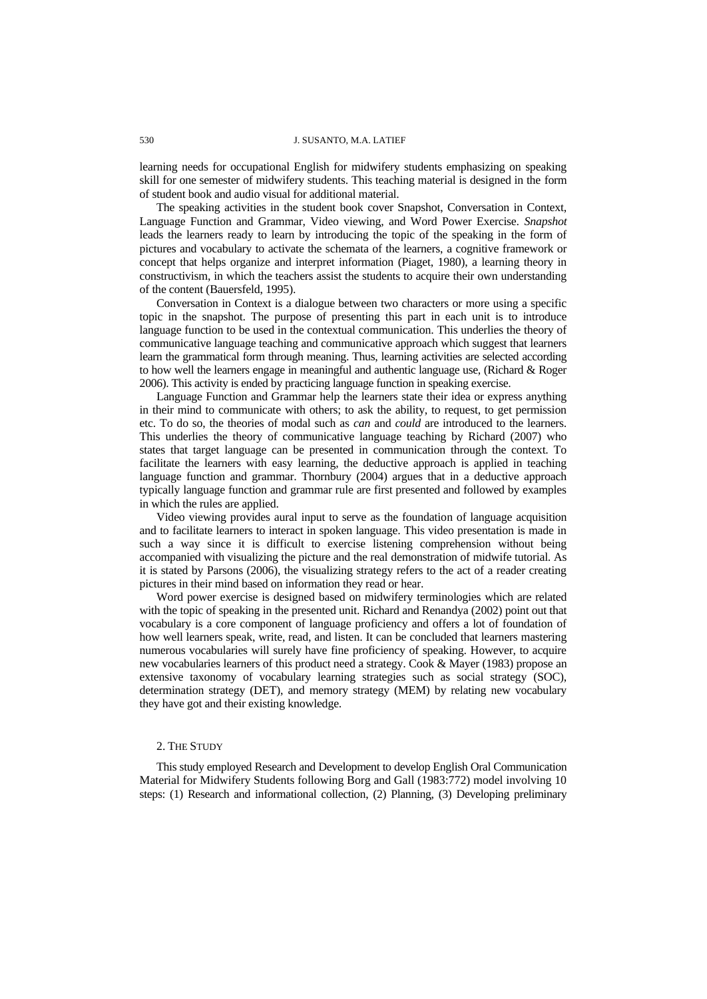learning needs for occupational English for midwifery students emphasizing on speaking skill for one semester of midwifery students. This teaching material is designed in the form of student book and audio visual for additional material.

The speaking activities in the student book cover Snapshot, Conversation in Context, Language Function and Grammar, Video viewing, and Word Power Exercise. *Snapshot*  leads the learners ready to learn by introducing the topic of the speaking in the form of pictures and vocabulary to activate the schemata of the learners, a cognitive framework or concept that helps organize and interpret information (Piaget, 1980), a learning theory in constructivism, in which the teachers assist the students to acquire their own understanding of the content (Bauersfeld, 1995).

Conversation in Context is a dialogue between two characters or more using a specific topic in the snapshot. The purpose of presenting this part in each unit is to introduce language function to be used in the contextual communication. This underlies the theory of communicative language teaching and communicative approach which suggest that learners learn the grammatical form through meaning. Thus, learning activities are selected according to how well the learners engage in meaningful and authentic language use, (Richard & Roger 2006). This activity is ended by practicing language function in speaking exercise.

Language Function and Grammar help the learners state their idea or express anything in their mind to communicate with others; to ask the ability, to request, to get permission etc. To do so, the theories of modal such as *can* and *could* are introduced to the learners. This underlies the theory of communicative language teaching by Richard (2007) who states that target language can be presented in communication through the context. To facilitate the learners with easy learning, the deductive approach is applied in teaching language function and grammar. Thornbury (2004) argues that in a deductive approach typically language function and grammar rule are first presented and followed by examples in which the rules are applied.

Video viewing provides aural input to serve as the foundation of language acquisition and to facilitate learners to interact in spoken language. This video presentation is made in such a way since it is difficult to exercise listening comprehension without being accompanied with visualizing the picture and the real demonstration of midwife tutorial. As it is stated by Parsons (2006), the visualizing strategy refers to the act of a reader creating pictures in their mind based on information they read or hear.

Word power exercise is designed based on midwifery terminologies which are related with the topic of speaking in the presented unit. Richard and Renandya (2002) point out that vocabulary is a core component of language proficiency and offers a lot of foundation of how well learners speak, write, read, and listen. It can be concluded that learners mastering numerous vocabularies will surely have fine proficiency of speaking. However, to acquire new vocabularies learners of this product need a strategy. Cook & Mayer (1983) propose an extensive taxonomy of vocabulary learning strategies such as social strategy (SOC), determination strategy (DET), and memory strategy (MEM) by relating new vocabulary they have got and their existing knowledge.

### 2. THE STUDY

This study employed Research and Development to develop English Oral Communication Material for Midwifery Students following Borg and Gall (1983:772) model involving 10 steps: (1) Research and informational collection, (2) Planning, (3) Developing preliminary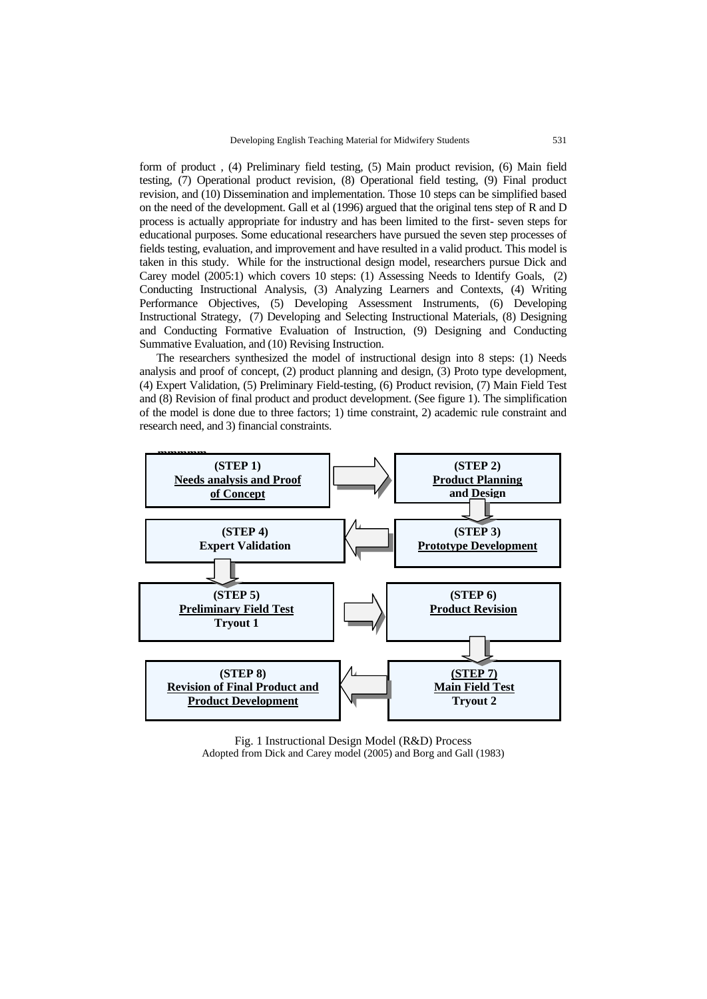form of product , (4) Preliminary field testing, (5) Main product revision, (6) Main field testing, (7) Operational product revision, (8) Operational field testing, (9) Final product revision, and (10) Dissemination and implementation. Those 10 steps can be simplified based on the need of the development. Gall et al (1996) argued that the original tens step of R and D process is actually appropriate for industry and has been limited to the first- seven steps for educational purposes. Some educational researchers have pursued the seven step processes of fields testing, evaluation, and improvement and have resulted in a valid product. This model is taken in this study. While for the instructional design model, researchers pursue Dick and Carey model (2005:1) which covers 10 steps: (1) Assessing Needs to Identify Goals, (2) Conducting Instructional Analysis, (3) Analyzing Learners and Contexts, (4) Writing Performance Objectives, (5) Developing Assessment Instruments, (6) Developing Instructional Strategy, (7) Developing and Selecting Instructional Materials, (8) Designing and Conducting Formative Evaluation of Instruction, (9) Designing and Conducting Summative Evaluation, and (10) Revising Instruction.

The researchers synthesized the model of instructional design into 8 steps: (1) Needs analysis and proof of concept, (2) product planning and design, (3) Proto type development, (4) Expert Validation, (5) Preliminary Field-testing, (6) Product revision, (7) Main Field Test and (8) Revision of final product and product development. (See figure 1). The simplification of the model is done due to three factors; 1) time constraint, 2) academic rule constraint and research need, and 3) financial constraints.



Fig. 1 Instructional Design Model (R&D) Process Adopted from Dick and Carey model (2005) and Borg and Gall (1983)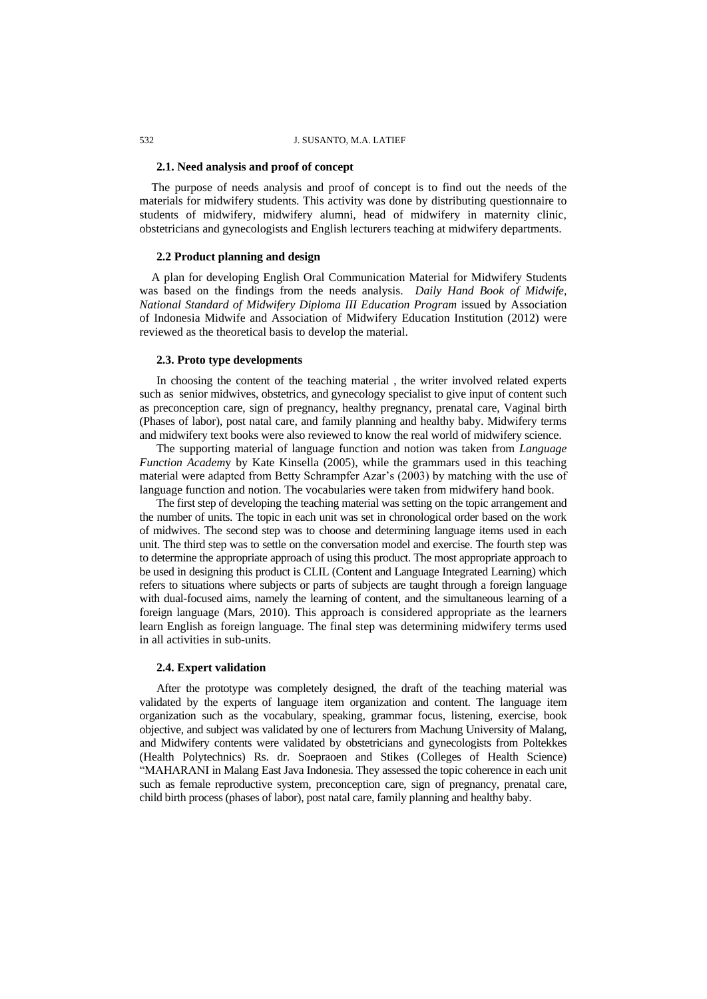#### 532 J. SUSANTO, M.A. LATIEF

### **2.1. Need analysis and proof of concept**

 The purpose of needs analysis and proof of concept is to find out the needs of the materials for midwifery students. This activity was done by distributing questionnaire to students of midwifery, midwifery alumni, head of midwifery in maternity clinic, obstetricians and gynecologists and English lecturers teaching at midwifery departments.

### **2.2 Product planning and design**

 A plan for developing English Oral Communication Material for Midwifery Students was based on the findings from the needs analysis. *Daily Hand Book of Midwife, National Standard of Midwifery Diploma III Education Program* issued by Association of Indonesia Midwife and Association of Midwifery Education Institution (2012) were reviewed as the theoretical basis to develop the material.

## **2.3. Proto type developments**

In choosing the content of the teaching material , the writer involved related experts such as senior midwives, obstetrics, and gynecology specialist to give input of content such as preconception care, sign of pregnancy, healthy pregnancy, prenatal care, Vaginal birth (Phases of labor), post natal care, and family planning and healthy baby. Midwifery terms and midwifery text books were also reviewed to know the real world of midwifery science.

The supporting material of language function and notion was taken from *Language Function Academ*y by Kate Kinsella (2005), while the grammars used in this teaching material were adapted from Betty Schrampfer Azar"s (2003) by matching with the use of language function and notion. The vocabularies were taken from midwifery hand book.

The first step of developing the teaching material was setting on the topic arrangement and the number of units. The topic in each unit was set in chronological order based on the work of midwives. The second step was to choose and determining language items used in each unit. The third step was to settle on the conversation model and exercise. The fourth step was to determine the appropriate approach of using this product. The most appropriate approach to be used in designing this product is CLIL (Content and Language Integrated Learning) which refers to situations where subjects or parts of subjects are taught through a foreign language with dual-focused aims, namely the learning of content, and the simultaneous learning of a foreign language (Mars, 2010). This approach is considered appropriate as the learners learn English as foreign language. The final step was determining midwifery terms used in all activities in sub-units.

#### **2.4. Expert validation**

After the prototype was completely designed, the draft of the teaching material was validated by the experts of language item organization and content. The language item organization such as the vocabulary, speaking, grammar focus, listening, exercise, book objective, and subject was validated by one of lecturers from Machung University of Malang, and Midwifery contents were validated by obstetricians and gynecologists from Poltekkes (Health Polytechnics) Rs. dr. Soepraoen and Stikes (Colleges of Health Science) "MAHARANI in Malang East Java Indonesia. They assessed the topic coherence in each unit such as female reproductive system, preconception care, sign of pregnancy, prenatal care, child birth process (phases of labor), post natal care, family planning and healthy baby.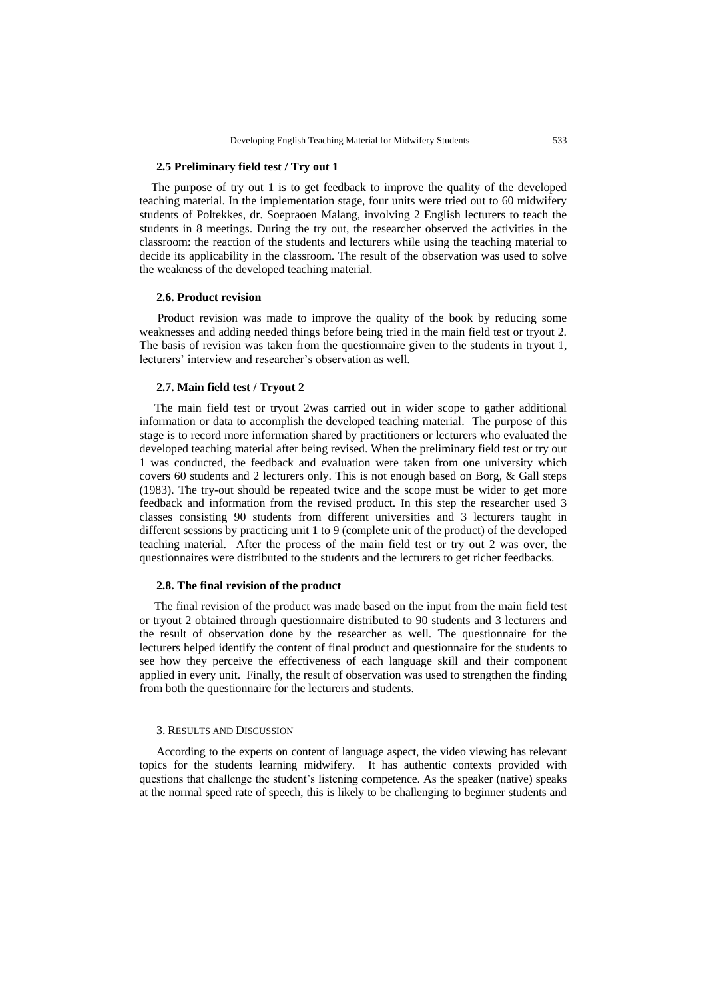### **2.5 Preliminary field test / Try out 1**

 The purpose of try out 1 is to get feedback to improve the quality of the developed teaching material. In the implementation stage, four units were tried out to 60 midwifery students of Poltekkes, dr. Soepraoen Malang, involving 2 English lecturers to teach the students in 8 meetings. During the try out, the researcher observed the activities in the classroom: the reaction of the students and lecturers while using the teaching material to decide its applicability in the classroom. The result of the observation was used to solve the weakness of the developed teaching material.

#### **2.6. Product revision**

 Product revision was made to improve the quality of the book by reducing some weaknesses and adding needed things before being tried in the main field test or tryout 2. The basis of revision was taken from the questionnaire given to the students in tryout 1, lecturers' interview and researcher's observation as well.

### **2.7. Main field test / Tryout 2**

 The main field test or tryout 2was carried out in wider scope to gather additional information or data to accomplish the developed teaching material. The purpose of this stage is to record more information shared by practitioners or lecturers who evaluated the developed teaching material after being revised. When the preliminary field test or try out 1 was conducted, the feedback and evaluation were taken from one university which covers 60 students and 2 lecturers only. This is not enough based on Borg, & Gall steps (1983). The try-out should be repeated twice and the scope must be wider to get more feedback and information from the revised product. In this step the researcher used 3 classes consisting 90 students from different universities and 3 lecturers taught in different sessions by practicing unit 1 to 9 (complete unit of the product) of the developed teaching material. After the process of the main field test or try out 2 was over, the questionnaires were distributed to the students and the lecturers to get richer feedbacks.

#### **2.8. The final revision of the product**

 The final revision of the product was made based on the input from the main field test or tryout 2 obtained through questionnaire distributed to 90 students and 3 lecturers and the result of observation done by the researcher as well. The questionnaire for the lecturers helped identify the content of final product and questionnaire for the students to see how they perceive the effectiveness of each language skill and their component applied in every unit. Finally, the result of observation was used to strengthen the finding from both the questionnaire for the lecturers and students.

#### 3. RESULTS AND DISCUSSION

According to the experts on content of language aspect, the video viewing has relevant topics for the students learning midwifery. It has authentic contexts provided with questions that challenge the student"s listening competence. As the speaker (native) speaks at the normal speed rate of speech, this is likely to be challenging to beginner students and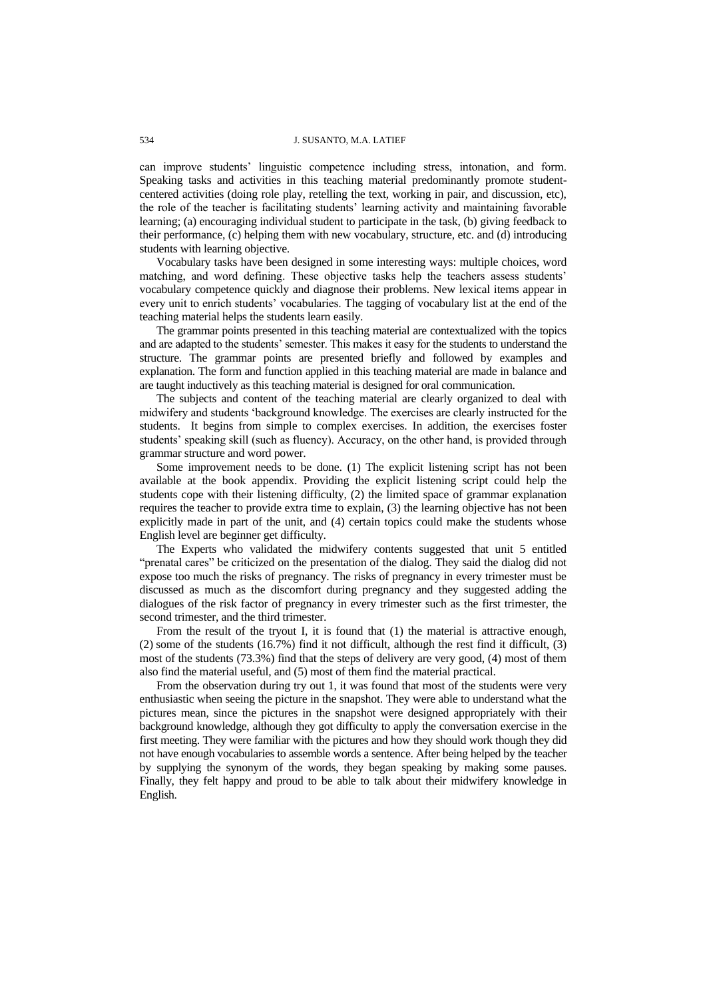can improve students" linguistic competence including stress, intonation, and form. Speaking tasks and activities in this teaching material predominantly promote studentcentered activities (doing role play, retelling the text, working in pair, and discussion, etc), the role of the teacher is facilitating students' learning activity and maintaining favorable learning; (a) encouraging individual student to participate in the task, (b) giving feedback to their performance, (c) helping them with new vocabulary, structure, etc. and (d) introducing students with learning objective.

Vocabulary tasks have been designed in some interesting ways: multiple choices, word matching, and word defining. These objective tasks help the teachers assess students" vocabulary competence quickly and diagnose their problems. New lexical items appear in every unit to enrich students" vocabularies. The tagging of vocabulary list at the end of the teaching material helps the students learn easily.

The grammar points presented in this teaching material are contextualized with the topics and are adapted to the students" semester. This makes it easy for the students to understand the structure. The grammar points are presented briefly and followed by examples and explanation. The form and function applied in this teaching material are made in balance and are taught inductively as this teaching material is designed for oral communication.

The subjects and content of the teaching material are clearly organized to deal with midwifery and students "background knowledge. The exercises are clearly instructed for the students. It begins from simple to complex exercises. In addition, the exercises foster students' speaking skill (such as fluency). Accuracy, on the other hand, is provided through grammar structure and word power.

Some improvement needs to be done. (1) The explicit listening script has not been available at the book appendix. Providing the explicit listening script could help the students cope with their listening difficulty, (2) the limited space of grammar explanation requires the teacher to provide extra time to explain, (3) the learning objective has not been explicitly made in part of the unit, and (4) certain topics could make the students whose English level are beginner get difficulty.

The Experts who validated the midwifery contents suggested that unit 5 entitled "prenatal cares" be criticized on the presentation of the dialog. They said the dialog did not expose too much the risks of pregnancy. The risks of pregnancy in every trimester must be discussed as much as the discomfort during pregnancy and they suggested adding the dialogues of the risk factor of pregnancy in every trimester such as the first trimester, the second trimester, and the third trimester.

From the result of the tryout I, it is found that (1) the material is attractive enough, (2) some of the students (16.7%) find it not difficult, although the rest find it difficult, (3) most of the students (73.3%) find that the steps of delivery are very good, (4) most of them also find the material useful, and (5) most of them find the material practical.

From the observation during try out 1, it was found that most of the students were very enthusiastic when seeing the picture in the snapshot. They were able to understand what the pictures mean, since the pictures in the snapshot were designed appropriately with their background knowledge, although they got difficulty to apply the conversation exercise in the first meeting. They were familiar with the pictures and how they should work though they did not have enough vocabularies to assemble words a sentence. After being helped by the teacher by supplying the synonym of the words, they began speaking by making some pauses. Finally, they felt happy and proud to be able to talk about their midwifery knowledge in English.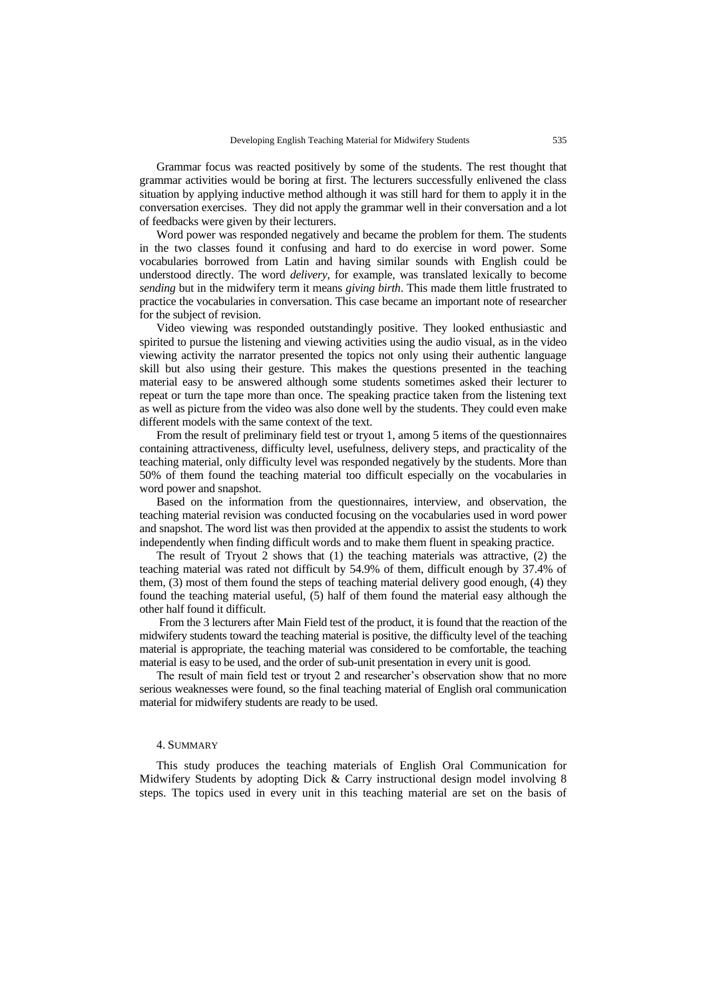Grammar focus was reacted positively by some of the students. The rest thought that grammar activities would be boring at first. The lecturers successfully enlivened the class situation by applying inductive method although it was still hard for them to apply it in the conversation exercises. They did not apply the grammar well in their conversation and a lot of feedbacks were given by their lecturers.

Word power was responded negatively and became the problem for them. The students in the two classes found it confusing and hard to do exercise in word power. Some vocabularies borrowed from Latin and having similar sounds with English could be understood directly. The word *delivery*, for example, was translated lexically to become *sending* but in the midwifery term it means *giving birth*. This made them little frustrated to practice the vocabularies in conversation. This case became an important note of researcher for the subject of revision.

Video viewing was responded outstandingly positive. They looked enthusiastic and spirited to pursue the listening and viewing activities using the audio visual, as in the video viewing activity the narrator presented the topics not only using their authentic language skill but also using their gesture. This makes the questions presented in the teaching material easy to be answered although some students sometimes asked their lecturer to repeat or turn the tape more than once. The speaking practice taken from the listening text as well as picture from the video was also done well by the students. They could even make different models with the same context of the text.

From the result of preliminary field test or tryout 1, among 5 items of the questionnaires containing attractiveness, difficulty level, usefulness, delivery steps, and practicality of the teaching material, only difficulty level was responded negatively by the students. More than 50% of them found the teaching material too difficult especially on the vocabularies in word power and snapshot.

Based on the information from the questionnaires, interview, and observation, the teaching material revision was conducted focusing on the vocabularies used in word power and snapshot. The word list was then provided at the appendix to assist the students to work independently when finding difficult words and to make them fluent in speaking practice.

The result of Tryout 2 shows that (1) the teaching materials was attractive, (2) the teaching material was rated not difficult by 54.9% of them, difficult enough by 37.4% of them, (3) most of them found the steps of teaching material delivery good enough, (4) they found the teaching material useful, (5) half of them found the material easy although the other half found it difficult.

From the 3 lecturers after Main Field test of the product, it is found that the reaction of the midwifery students toward the teaching material is positive, the difficulty level of the teaching material is appropriate, the teaching material was considered to be comfortable, the teaching material is easy to be used, and the order of sub-unit presentation in every unit is good.

The result of main field test or tryout 2 and researcher's observation show that no more serious weaknesses were found, so the final teaching material of English oral communication material for midwifery students are ready to be used.

### 4. SUMMARY

This study produces the teaching materials of English Oral Communication for Midwifery Students by adopting Dick & Carry instructional design model involving 8 steps. The topics used in every unit in this teaching material are set on the basis of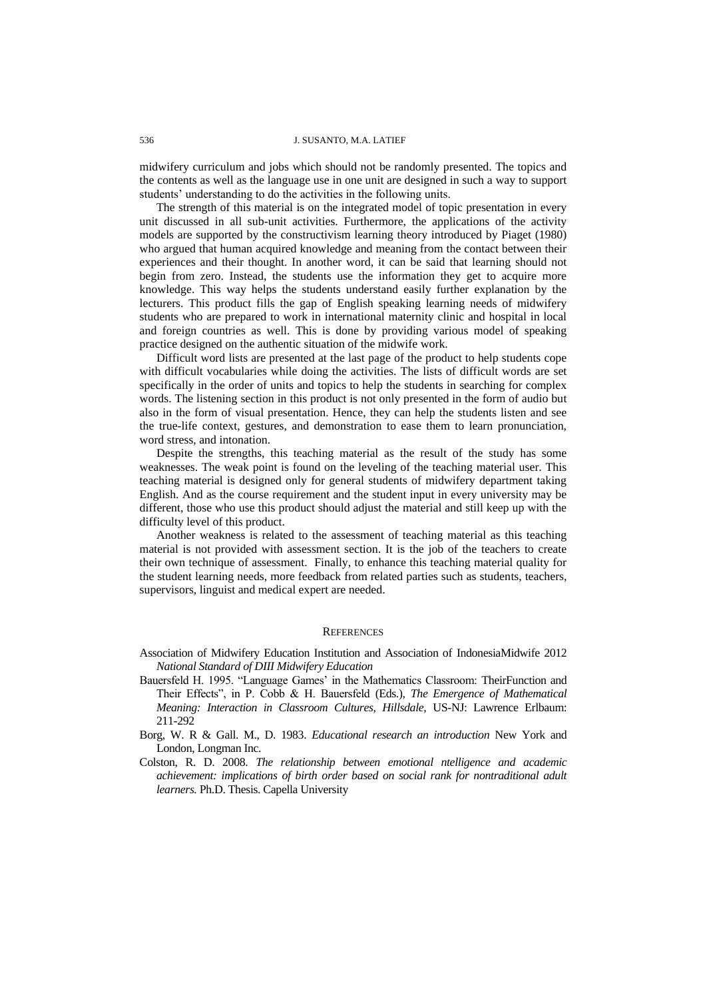#### 536 J. SUSANTO, M.A. LATIEF

midwifery curriculum and jobs which should not be randomly presented. The topics and the contents as well as the language use in one unit are designed in such a way to support students' understanding to do the activities in the following units.

The strength of this material is on the integrated model of topic presentation in every unit discussed in all sub-unit activities. Furthermore, the applications of the activity models are supported by the constructivism learning theory introduced by Piaget (1980) who argued that human acquired knowledge and meaning from the contact between their experiences and their thought. In another word, it can be said that learning should not begin from zero. Instead, the students use the information they get to acquire more knowledge. This way helps the students understand easily further explanation by the lecturers. This product fills the gap of English speaking learning needs of midwifery students who are prepared to work in international maternity clinic and hospital in local and foreign countries as well. This is done by providing various model of speaking practice designed on the authentic situation of the midwife work.

Difficult word lists are presented at the last page of the product to help students cope with difficult vocabularies while doing the activities. The lists of difficult words are set specifically in the order of units and topics to help the students in searching for complex words. The listening section in this product is not only presented in the form of audio but also in the form of visual presentation. Hence, they can help the students listen and see the true-life context, gestures, and demonstration to ease them to learn pronunciation, word stress, and intonation.

Despite the strengths, this teaching material as the result of the study has some weaknesses. The weak point is found on the leveling of the teaching material user. This teaching material is designed only for general students of midwifery department taking English. And as the course requirement and the student input in every university may be different, those who use this product should adjust the material and still keep up with the difficulty level of this product.

Another weakness is related to the assessment of teaching material as this teaching material is not provided with assessment section. It is the job of the teachers to create their own technique of assessment. Finally, to enhance this teaching material quality for the student learning needs, more feedback from related parties such as students, teachers, supervisors, linguist and medical expert are needed.

#### **REFERENCES**

- Association of Midwifery Education Institution and Association of IndonesiaMidwife 2012 *National Standard of DIII Midwifery Education*
- Bauersfeld H. 1995. "Language Games" in the Mathematics Classroom: TheirFunction and Their Effects", in P. Cobb & H. Bauersfeld (Eds.), *The Emergence of Mathematical Meaning: Interaction in Classroom Cultures, Hillsdale,* US-NJ: Lawrence Erlbaum: 211-292
- Borg, W. R & Gall. M., D. 1983. *Educational research an introduction* New York and London, Longman Inc.
- Colston, R. D. 2008. *The relationship between emotional ntelligence and academic achievement: implications of birth order based on social rank for nontraditional adult learners.* Ph.D. Thesis. Capella University